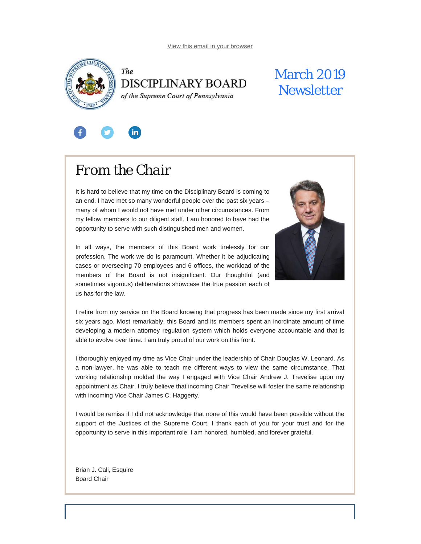<span id="page-0-0"></span>



# March 2019 **Newsletter**



# *From the Chair*

It is hard to believe that my time on the Disciplinary Board is coming to an end. I have met so many wonderful people over the past six years – many of whom I would not have met under other circumstances. From my fellow members to our diligent staff, I am honored to have had the opportunity to serve with such distinguished men and women.



In all ways, the members of this Board work tirelessly for our profession. The work we do is paramount. Whether it be adjudicating cases or overseeing 70 employees and 6 offices, the workload of the members of the Board is not insignificant. Our thoughtful (and sometimes vigorous) deliberations showcase the true passion each of us has for the law.

I retire from my service on the Board knowing that progress has been made since my first arrival six years ago. Most remarkably, this Board and its members spent an inordinate amount of time developing a modern attorney regulation system which holds everyone accountable and that is able to evolve over time. I am truly proud of our work on this front.

I thoroughly enjoyed my time as Vice Chair under the leadership of Chair Douglas W. Leonard. As a non-lawyer, he was able to teach me different ways to view the same circumstance. That working relationship molded the way I engaged with Vice Chair Andrew J. Trevelise upon my appointment as Chair. I truly believe that incoming Chair Trevelise will foster the same relationship with incoming Vice Chair James C. Haggerty.

I would be remiss if I did not acknowledge that none of this would have been possible without the support of the Justices of the Supreme Court. I thank each of you for your trust and for the opportunity to serve in this important role. I am honored, humbled, and forever grateful.

Brian J. Cali, Esquire Board Chair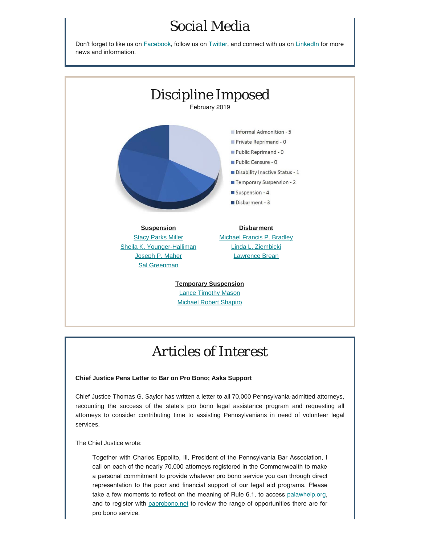## *Social Media*

Don't forget to like us on **[Facebook](https://www.facebook.com/DBoardPA)**, follow us on **[Twitter](https://twitter.com/DBoardPa)**, and connect with us on **[LinkedIn](https://www.linkedin.com/company/pennsylvania-disciplinary-board/)** for more news and information.



## *Articles of Interest*

### **Chief Justice Pens Letter to Bar on Pro Bono; Asks Support**

Chief Justice Thomas G. Saylor has written a letter to all 70,000 Pennsylvania-admitted attorneys, recounting the success of the state's pro bono legal assistance program and requesting all attorneys to consider contributing time to assisting Pennsylvanians in need of volunteer legal services.

The Chief Justice wrote:

Together with Charles Eppolito, Ill, President of the Pennsylvania Bar Association, I call on each of the nearly 70,000 attorneys registered in the Commonwealth to make a personal commitment to provide whatever pro bono service you can through direct representation to the poor and financial support of our legal aid programs. Please take a few moments to reflect on the meaning of Rule 6.1, to access [palawhelp.org](http://www.palawhelp.org/), and to register with [paprobono.net](http://www.paprobono.net/) to review the range of opportunities there are for pro bono service.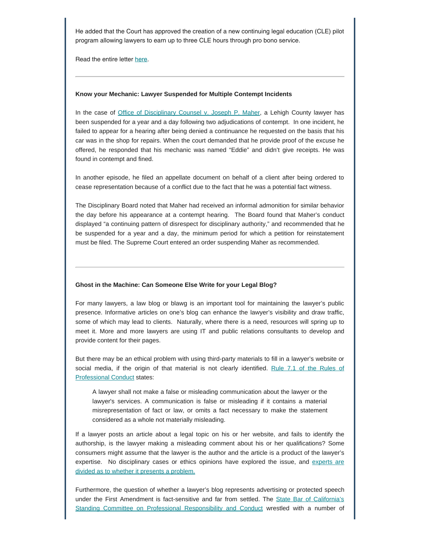He added that the Court has approved the creation of a new continuing legal education (CLE) pilot program allowing lawyers to earn up to three CLE hours through pro bono service.

Read the entire letter [here](https://palegalaid.net/sites/default/files/2019-02/2019-Chief-Justice-Saylor-Letter.pdf).

### **Know your Mechanic: Lawyer Suspended for Multiple Contempt Incidents**

In the case of [Office of Disciplinary Counsel v. Joseph P. Maher](http://www.pacourts.us/assets/opinions/DisciplinaryBoard/out/4DB2018-Maher.pdf), a Lehigh County lawyer has been suspended for a year and a day following two adjudications of contempt. In one incident, he failed to appear for a hearing after being denied a continuance he requested on the basis that his car was in the shop for repairs. When the court demanded that he provide proof of the excuse he offered, he responded that his mechanic was named "Eddie" and didn't give receipts. He was found in contempt and fined.

In another episode, he filed an appellate document on behalf of a client after being ordered to cease representation because of a conflict due to the fact that he was a potential fact witness.

The Disciplinary Board noted that Maher had received an informal admonition for similar behavior the day before his appearance at a contempt hearing. The Board found that Maher's conduct displayed "a continuing pattern of disrespect for disciplinary authority," and recommended that he be suspended for a year and a day, the minimum period for which a petition for reinstatement must be filed. The Supreme Court entered an order suspending Maher as recommended.

#### **Ghost in the Machine: Can Someone Else Write for your Legal Blog?**

For many lawyers, a law blog or blawg is an important tool for maintaining the lawyer's public presence. Informative articles on one's blog can enhance the lawyer's visibility and draw traffic, some of which may lead to clients. Naturally, where there is a need, resources will spring up to meet it. More and more lawyers are using IT and public relations consultants to develop and provide content for their pages.

But there may be an ethical problem with using third-party materials to fill in a lawyer's website or social media, if the origin of that material is not clearly identified. [Rule 7.1 of the Rules of](https://www.padisciplinaryboard.org/for-attorneys/rules/rule/3/the-rules-of-professional-conduct#rule-250) [Professional Conduct](https://www.padisciplinaryboard.org/for-attorneys/rules/rule/3/the-rules-of-professional-conduct#rule-250) states:

A lawyer shall not make a false or misleading communication about the lawyer or the lawyer's services. A communication is false or misleading if it contains a material misrepresentation of fact or law, or omits a fact necessary to make the statement considered as a whole not materially misleading.

If a lawyer posts an article about a legal topic on his or her website, and fails to identify the authorship, is the lawyer making a misleading comment about his or her qualifications? Some consumers might assume that the lawyer is the author and the article is a product of the lawyer's expertise. No disciplinary cases or ethics opinions have explored the issue, and [experts are](http://www.abajournal.com/web/article/ghostwriting-for-law-blogs-ethics-are-murky) [divided as to whether it presents a problem.](http://www.abajournal.com/web/article/ghostwriting-for-law-blogs-ethics-are-murky)

Furthermore, the question of whether a lawyer's blog represents advertising or protected speech under the First Amendment is fact-sensitive and far from settled. The [State Bar of California's](http://www.calbar.ca.gov/portals/0/documents/publiccomment/2014/2014_12-0006Blogging.pdf) [Standing Committee on Professional Responsibility and Conduct](http://www.calbar.ca.gov/portals/0/documents/publiccomment/2014/2014_12-0006Blogging.pdf) wrestled with a number of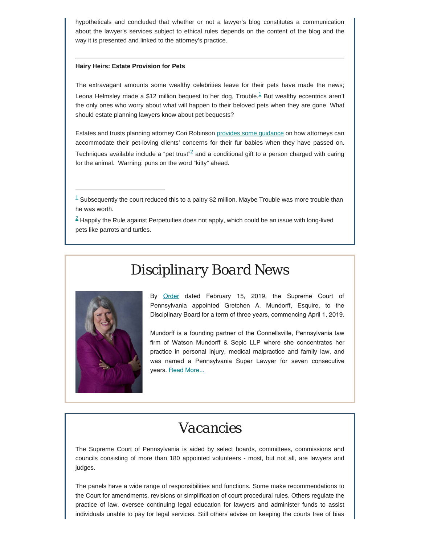hypotheticals and concluded that whether or not a lawyer's blog constitutes a communication about the lawyer's services subject to ethical rules depends on the content of the blog and the way it is presented and linked to the attorney's practice.

### **Hairy Heirs: Estate Provision for Pets**

<span id="page-3-2"></span>The extravagant amounts some wealthy celebrities leave for their pets have made the news; Leona Helmsley made a \$[1](#page-3-0)2 million bequest to her dog, Trouble. $1$  But wealthy eccentrics aren't the only ones who worry about what will happen to their beloved pets when they are gone. What should estate planning lawyers know about pet bequests?

<span id="page-3-3"></span>Estates and trusts planning attorney Cori Robinson [provides some guidance](https://abovethelaw.com/2019/02/whats-in-the-kitty-pet-bequests-arent-only-for-the-rich-and-famous/) on how attorneys can accommodate their pet-loving clients' concerns for their fur babies when they have passed on. Techniques available include a "pet trust"<sup>2</sup> and a conditional gift to a person charged with caring for the animal. Warning: puns on the word "kitty" ahead.

<span id="page-3-0"></span> $1$  Subsequently the court reduced this to a paltry \$2 million. Maybe Trouble was more trouble than he was worth.

<span id="page-3-1"></span> $2$  Happily the Rule against Perpetuities does not apply, which could be an issue with long-lived pets like parrots and turtles.

# *Disciplinary Board News*



By [Order](http://www.pacourts.us/assets/opinions/Supreme/out/Order%20Entered%20%2010388270051178523.pdf) dated February 15, 2019, the Supreme Court of Pennsylvania appointed Gretchen A. Mundorff, Esquire, to the Disciplinary Board for a term of three years, commencing April 1, 2019.

Mundorff is a founding partner of the Connellsville, Pennsylvania law firm of Watson Mundorff & Sepic LLP where she concentrates her practice in personal injury, medical malpractice and family law, and was named a Pennsylvania Super Lawyer for seven consecutive years. [Read More...](https://www.padisciplinaryboard.org/news-media/news-article/1079/fayette-county-attorney-gretchen-a-mundorff-named-member-of-pa-disciplinary-board)

## *Vacancies*

The Supreme Court of Pennsylvania is aided by select boards, committees, commissions and councils consisting of more than 180 appointed volunteers - most, but not all, are lawyers and judges.

The panels have a wide range of responsibilities and functions. Some make recommendations to the Court for amendments, revisions or simplification of court procedural rules. Others regulate the practice of law, oversee continuing legal education for lawyers and administer funds to assist individuals unable to pay for legal services. Still others advise on keeping the courts free of bias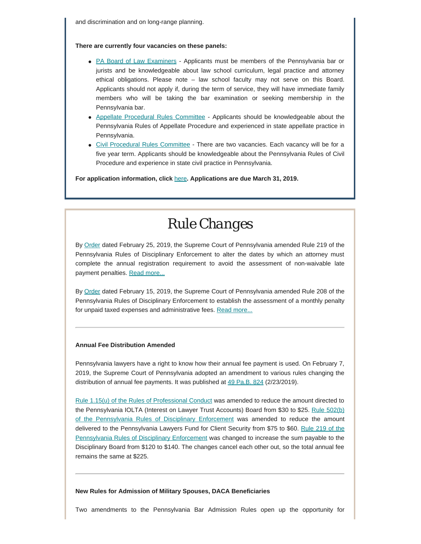and discrimination and on long-range planning.

#### **There are currently four vacancies on these panels:**

- [PA Board of Law Examiners](http://www.pacourts.us/courts/supreme-court/committees/membership-requirements-for-the-board-of-law-examiners)  Applicants must be members of the Pennsylvania bar or jurists and be knowledgeable about law school curriculum, legal practice and attorney ethical obligations. Please note – law school faculty may not serve on this Board. Applicants should not apply if, during the term of service, they will have immediate family members who will be taking the bar examination or seeking membership in the Pennsylvania bar.
- [Appellate Procedural Rules Committee](http://www.pacourts.us/courts/supreme-court/committees/membership-requirements-for-the-appellate-court-procedural-rules-committee) Applicants should be knowledgeable about the Pennsylvania Rules of Appellate Procedure and experienced in state appellate practice in Pennsylvania.
- [Civil Procedural Rules Committee](http://www.pacourts.us/courts/supreme-court/committees/membership-requirements-for-the-civil-procedural-rules-committee) There are two vacancies. Each vacancy will be for a five year term. Applicants should be knowledgeable about the Pennsylvania Rules of Civil Procedure and experience in state civil practice in Pennsylvania.

**For application information, click** [here](http://www.pacourts.us/courts/supreme-court/committees/)**. Applications are due March 31, 2019.**

## *Rule Changes*

By [Order](http://www.pacourts.us/assets/opinions/Supreme/out/Order%20Entered%20%2010389285951681336.pdf) dated February 25, 2019, the Supreme Court of Pennsylvania amended Rule 219 of the Pennsylvania Rules of Disciplinary Enforcement to alter the dates by which an attorney must complete the annual registration requirement to avoid the assessment of non-waivable late payment penalties. [Read more...](https://www.padisciplinaryboard.org/news-media/news-article/77/court-amends-timeline-of-annual-attorney-registration)

By [Order](http://www.pacourts.us/assets/opinions/Supreme/out/Amended%20Order%20Entered%20%2010389812152807889.pdf?cb=1) dated February 15, 2019, the Supreme Court of Pennsylvania amended Rule 208 of the Pennsylvania Rules of Disciplinary Enforcement to establish the assessment of a monthly penalty for unpaid taxed expenses and administrative fees. [Read more...](https://www.padisciplinaryboard.org/news-media/news-article/76/court-adopts-assessment-of-penalties-on-unpaid-taxed-expenses-and-administrative-fees)

### **Annual Fee Distribution Amended**

Pennsylvania lawyers have a right to know how their annual fee payment is used. On February 7, 2019, the Supreme Court of Pennsylvania adopted an amendment to various rules changing the distribution of annual fee payments. It was published at [49 Pa.B. 824](https://www.pabulletin.com/secure/data/vol49/49-8/252.html) (2/23/2019).

[Rule 1.15\(u\) of the Rules of Professional Conduct](https://www.padisciplinaryboard.org/for-attorneys/rules/rule/3/the-rules-of-professional-conduct#rule-156) was amended to reduce the amount directed to the Pennsylvania IOLTA (Interest on Lawyer Trust Accounts) Board from \$30 to \$25. [Rule 502\(b\)](https://www.padisciplinaryboard.org/for-attorneys/rules/rule/5/the-pennsylvania-rules-of-disciplinary-enforcement#rule-53) [of the Pennsylvania Rules of Disciplinary Enforcement](https://www.padisciplinaryboard.org/for-attorneys/rules/rule/5/the-pennsylvania-rules-of-disciplinary-enforcement#rule-53) was amended to reduce the amount delivered to the Pennsylvania Lawyers Fund for Client Security from \$75 to \$60. [Rule 219 of the](https://www.padisciplinaryboard.org/for-attorneys/rules/rule/5/the-pennsylvania-rules-of-disciplinary-enforcement#rule-35) [Pennsylvania Rules of Disciplinary Enforcement](https://www.padisciplinaryboard.org/for-attorneys/rules/rule/5/the-pennsylvania-rules-of-disciplinary-enforcement#rule-35) was changed to increase the sum payable to the Disciplinary Board from \$120 to \$140. The changes cancel each other out, so the total annual fee remains the same at \$225.

### **New Rules for Admission of Military Spouses, DACA Beneficiaries**

Two amendments to the Pennsylvania Bar Admission Rules open up the opportunity for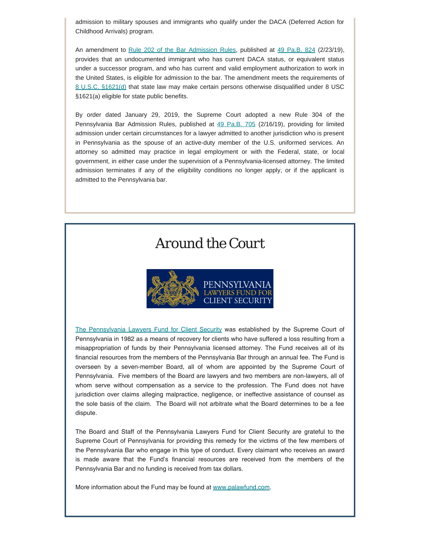admission to military spouses and immigrants who qualify under the DACA (Deferred Action for Childhood Arrivals) program.

An amendment to [Rule 202 of the Bar Admission Rules](http://www.pabarexam.org/bar_admission_rules/202.htm), published at [49 Pa.B. 824](https://www.pabulletin.com/secure/data/vol49/49-8/251.html) (2/23/19), provides that an undocumented immigrant who has current DACA status, or equivalent status under a successor program, and who has current and valid employment authorization to work in the United States, is eligible for admission to the bar. The amendment meets the requirements of [8 U.S.C. §1621\(d\)](https://www.law.cornell.edu/uscode/text/8/1621) that state law may make certain persons otherwise disqualified under 8 USC §1621(a) eligible for state public benefits.

By order dated January 29, 2019, the Supreme Court adopted a new Rule 304 of the Pennsylvania Bar Admission Rules, published at [49 Pa.B. 705](https://www.pabulletin.com/secure/data/vol49/49-7/204.html) (2/16/19), providing for limited admission under certain circumstances for a lawyer admitted to another jurisdiction who is present in Pennsylvania as the spouse of an active-duty member of the U.S. uniformed services. An attorney so admitted may practice in legal employment or with the Federal, state, or local government, in either case under the supervision of a Pennsylvania-licensed attorney. The limited admission terminates if any of the eligibility conditions no longer apply, or if the applicant is admitted to the Pennsylvania bar.

### *Around the Court*



[The Pennsylvania Lawyers Fund for Client Security](http://www.palawfund.com/) was established by the Supreme Court of Pennsylvania in 1982 as a means of recovery for clients who have suffered a loss resulting from a misappropriation of funds by their Pennsylvania licensed attorney. The Fund receives all of its financial resources from the members of the Pennsylvania Bar through an annual fee. The Fund is overseen by a seven-member Board, all of whom are appointed by the Supreme Court of Pennsylvania. Five members of the Board are lawyers and two members are non-lawyers, all of whom serve without compensation as a service to the profession. The Fund does not have jurisdiction over claims alleging malpractice, negligence, or ineffective assistance of counsel as the sole basis of the claim. The Board will not arbitrate what the Board determines to be a fee dispute.

The Board and Staff of the Pennsylvania Lawyers Fund for Client Security are grateful to the Supreme Court of Pennsylvania for providing this remedy for the victims of the few members of the Pennsylvania Bar who engage in this type of conduct. Every claimant who receives an award is made aware that the Fund's financial resources are received from the members of the Pennsylvania Bar and no funding is received from tax dollars.

More information about the Fund may be found at [www.palawfund.com](http://www.palawfund.com/).